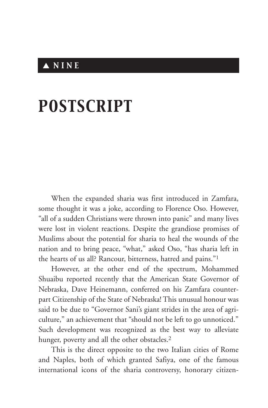## ▲ *NINE*

## *POSTSCRIPT*

When the expanded sharia was first introduced in Zamfara, some thought it was a joke, according to Florence Oso. However, "all of a sudden Christians were thrown into panic" and many lives were lost in violent reactions. Despite the grandiose promises of Muslims about the potential for sharia to heal the wounds of the nation and to bring peace, "what," asked Oso, "has sharia left in the hearts of us all? Rancour, bitterness, hatred and pains."1

However, at the other end of the spectrum, Mohammed Shuaibu reported recently that the American State Governor of Nebraska, Dave Heinemann, conferred on his Zamfara counterpart Citizenship of the State of Nebraska! This unusual honour was said to be due to "Governor Sani's giant strides in the area of agriculture," an achievement that "should not be left to go unnoticed." Such development was recognized as the best way to alleviate hunger, poverty and all the other obstacles.<sup>2</sup>

This is the direct opposite to the two Italian cities of Rome and Naples, both of which granted Safiya, one of the famous international icons of the sharia controversy, honorary citizen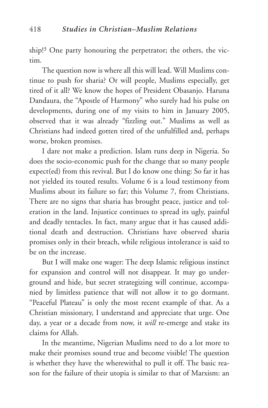ship!3 One party honouring the perpetrator; the others, the victim.

The question now is where all this will lead. Will Muslims continue to push for sharia? Or will people, Muslims especially, get tired of it all? We know the hopes of President Obasanjo. Haruna Dandaura, the "Apostle of Harmony" who surely had his pulse on developments, during one of my visits to him in January 2005, observed that it was already "fizzling out." Muslims as well as Christians had indeed gotten tired of the unfulfilled and, perhaps worse, broken promises.

I dare not make a prediction. Islam runs deep in Nigeria. So does the socio-economic push for the change that so many people expect(ed) from this revival. But I do know one thing: So far it has not yielded its touted results. Volume 6 is a loud testimony from Muslims about its failure so far; this Volume 7, from Christians. There are no signs that sharia has brought peace, justice and toleration in the land. Injustice continues to spread its ugly, painful and deadly tentacles. In fact, many argue that it has caused additional death and destruction. Christians have observed sharia promises only in their breach, while religious intolerance is said to be on the increase.

But I will make one wager: The deep Islamic religious instinct for expansion and control will not disappear. It may go underground and hide, but secret strategizing will continue, accompanied by limitless patience that will not allow it to go dormant. "Peaceful Plateau" is only the most recent example of that. As a Christian missionary, I understand and appreciate that urge. One day, a year or a decade from now, it *will* re-emerge and stake its claims for Allah.

In the meantime, Nigerian Muslims need to do a lot more to make their promises sound true and become visible! The question is whether they have the wherewithal to pull it off. The basic reason for the failure of their utopia is similar to that of Marxism: an